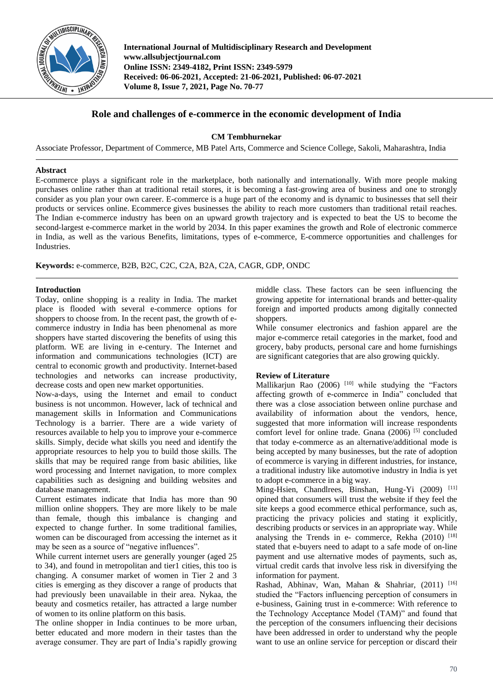

**International Journal of Multidisciplinary Research and Development www.allsubjectjournal.com Online ISSN: 2349-4182, Print ISSN: 2349-5979 Received: 06-06-2021, Accepted: 21-06-2021, Published: 06-07-2021 Volume 8, Issue 7, 2021, Page No. 70-77**

# **Role and challenges of e-commerce in the economic development of India**

**CM Tembhurnekar** 

Associate Professor, Department of Commerce, MB Patel Arts, Commerce and Science College, Sakoli, Maharashtra, India

### **Abstract**

E-commerce plays a significant role in the marketplace, both nationally and internationally. With more people making purchases online rather than at traditional retail stores, it is becoming a fast-growing area of business and one to strongly consider as you plan your own career. E-commerce is a huge part of the economy and is dynamic to businesses that sell their products or services online. Ecommerce gives businesses the ability to reach more customers than traditional retail reaches. The Indian e-commerce industry has been on an upward growth trajectory and is expected to beat the US to become the second-largest e-commerce market in the world by 2034. In this paper examines the growth and Role of electronic commerce in India, as well as the various Benefits, limitations, types of e-commerce, E-commerce opportunities and challenges for Industries.

**Keywords:** e-commerce, B2B, B2C, C2C, C2A, B2A, C2A, CAGR, GDP, ONDC

### **Introduction**

Today, online shopping is a reality in India. The market place is flooded with several e-commerce options for shoppers to choose from. In the recent past, the growth of ecommerce industry in India has been phenomenal as more shoppers have started discovering the benefits of using this platform. WE are living in e-century. The Internet and information and communications technologies (ICT) are central to economic growth and productivity. Internet-based technologies and networks can increase productivity, decrease costs and open new market opportunities.

Now-a-days, using the Internet and email to conduct business is not uncommon. However, lack of technical and management skills in Information and Communications Technology is a barrier. There are a wide variety of resources available to help you to improve your e-commerce skills. Simply, decide what skills you need and identify the appropriate resources to help you to build those skills. The skills that may be required range from basic abilities, like word processing and Internet navigation, to more complex capabilities such as designing and building websites and database management.

Current estimates indicate that India has more than 90 million online shoppers. They are more likely to be male than female, though this imbalance is changing and expected to change further. In some traditional families, women can be discouraged from accessing the internet as it may be seen as a source of "negative influences".

While current internet users are generally younger (aged 25) to 34), and found in metropolitan and tier1 cities, this too is changing. A consumer market of women in Tier 2 and 3 cities is emerging as they discover a range of products that had previously been unavailable in their area. Nykaa, the beauty and cosmetics retailer, has attracted a large number of women to its online platform on this basis.

The online shopper in India continues to be more urban, better educated and more modern in their tastes than the average consumer. They are part of India's rapidly growing

middle class. These factors can be seen influencing the growing appetite for international brands and better-quality foreign and imported products among digitally connected shoppers.

While consumer electronics and fashion apparel are the major e-commerce retail categories in the market, food and grocery, baby products, personal care and home furnishings are significant categories that are also growing quickly.

## **Review of Literature**

Mallikarjun Rao  $(2006)$ <sup>[10]</sup> while studying the "Factors" affecting growth of e-commerce in India" concluded that there was a close association between online purchase and availability of information about the vendors, hence, suggested that more information will increase respondents comfort level for online trade. Gnana (2006)<sup>[5]</sup> concluded that today e-commerce as an alternative/additional mode is being accepted by many businesses, but the rate of adoption of ecommerce is varying in different industries, for instance, a traditional industry like automotive industry in India is yet to adopt e-commerce in a big way.

Ming-Hsien, Chandlrees, Binshan, Hung-Yi (2009) [11] opined that consumers will trust the website if they feel the site keeps a good ecommerce ethical performance, such as, practicing the privacy policies and stating it explicitly, describing products or services in an appropriate way. While analysing the Trends in e- commerce, Rekha  $(2010)$ <sup>[18]</sup> stated that e-buyers need to adapt to a safe mode of on-line payment and use alternative modes of payments, such as, virtual credit cards that involve less risk in diversifying the information for payment.

Rashad, Abhinav, Wan, Mahan & Shahriar,  $(2011)$ <sup>[16]</sup> studied the "Factors influencing perception of consumers in e-business, Gaining trust in e-commerce: With reference to the Technology Acceptance Model (TAM)" and found that the perception of the consumers influencing their decisions have been addressed in order to understand why the people want to use an online service for perception or discard their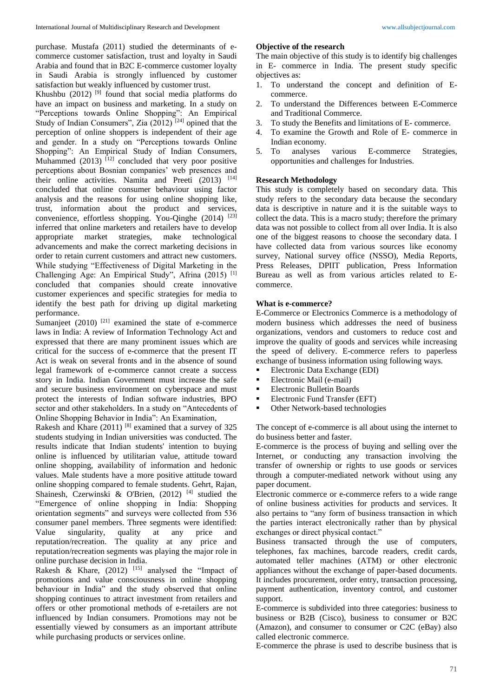purchase. Mustafa (2011) studied the determinants of ecommerce customer satisfaction, trust and loyalty in Saudi Arabia and found that in B2C E-commerce customer loyalty in Saudi Arabia is strongly influenced by customer satisfaction but weakly influenced by customer trust.

Khushbu  $(2012)$ <sup>[9]</sup> found that social media platforms do have an impact on business and marketing. In a study on "Perceptions towards Online Shopping": An Empirical Study of Indian Consumers", Zia  $(2012)^{[24]}$  opined that the perception of online shoppers is independent of their age and gender. In a study on "Perceptions towards Online Shopping": An Empirical Study of Indian Consumers, Muhammed  $(2013)$ <sup>[12]</sup> concluded that very poor positive perceptions about Bosnian companies' web presences and their online activities. Namita and Preeti (2013) [14] concluded that online consumer behaviour using factor analysis and the reasons for using online shopping like, trust, information about the product and services, convenience, effortless shopping. You-Qinghe (2014) [23] inferred that online marketers and retailers have to develop appropriate market strategies, make technological advancements and make the correct marketing decisions in order to retain current customers and attract new customers. While studying "Effectiveness of Digital Marketing in the Challenging Age: An Empirical Study", Afrina (2015) [1] concluded that companies should create innovative customer experiences and specific strategies for media to identify the best path for driving up digital marketing performance.

Sumanjeet  $(2010)$ <sup>[21]</sup> examined the state of e-commerce laws in India: A review of Information Technology Act and expressed that there are many prominent issues which are critical for the success of e-commerce that the present IT Act is weak on several fronts and in the absence of sound legal framework of e-commerce cannot create a success story in India. Indian Government must increase the safe and secure business environment on cyberspace and must protect the interests of Indian software industries, BPO sector and other stakeholders. In a study on "Antecedents of Online Shopping Behavior in India": An Examination,

Rakesh and Khare  $(2011)$ <sup>[8]</sup> examined that a survey of 325 students studying in Indian universities was conducted. The results indicate that Indian students' intention to buying online is influenced by utilitarian value, attitude toward online shopping, availability of information and hedonic values. Male students have a more positive attitude toward online shopping compared to female students. Gehrt, Rajan, Shainesh, Czerwinski & O'Brien, (2012)<sup>[4]</sup> studied the "Emergence of online shopping in India: Shopping orientation segments" and surveys were collected from 536 consumer panel members. Three segments were identified: Value singularity, quality at any price and reputation/recreation. The quality at any price and reputation/recreation segments was playing the major role in online purchase decision in India.

Rakesh & Khare,  $(2012)$ <sup>[15]</sup> analysed the "Impact of promotions and value consciousness in online shopping behaviour in India" and the study observed that online shopping continues to attract investment from retailers and offers or other promotional methods of e-retailers are not influenced by Indian consumers. Promotions may not be essentially viewed by consumers as an important attribute while purchasing products or services online.

#### **Objective of the research**

The main objective of this study is to identify big challenges in E- commerce in India. The present study specific objectives as:

- 1. To understand the concept and definition of Ecommerce.
- 2. To understand the Differences between E-Commerce and Traditional Commerce.
- 3. To study the Benefits and limitations of E- commerce.
- 4. To examine the Growth and Role of E- commerce in Indian economy.
- 5. To analyses various E-commerce Strategies, opportunities and challenges for Industries.

## **Research Methodology**

This study is completely based on secondary data. This study refers to the secondary data because the secondary data is descriptive in nature and it is the suitable ways to collect the data. This is a macro study; therefore the primary data was not possible to collect from all over India. It is also one of the biggest reasons to choose the secondary data. I have collected data from various sources like economy survey, National survey office (NSSO), Media Reports, Press Releases, DPIIT publication, Press Information Bureau as well as from various articles related to Ecommerce.

#### **What is e-commerce?**

E-Commerce or Electronics Commerce is a methodology of modern business which addresses the need of business organizations, vendors and customers to reduce cost and improve the quality of goods and services while increasing the speed of delivery. E-commerce refers to paperless exchange of business information using following ways.

- Electronic Data Exchange (EDI)
- **Electronic Mail (e-mail)**
- **Electronic Bulletin Boards**
- **Electronic Fund Transfer (EFT)**
- Other Network-based technologies

The concept of e-commerce is all about using the internet to do business better and faster.

E-commerce is the process of buying and selling over the Internet, or conducting any transaction involving the transfer of ownership or rights to use goods or services through a computer-mediated network without using any paper document.

Electronic commerce or e-commerce refers to a wide range of online business activities for products and services. It also pertains to "any form of business transaction in which the parties interact electronically rather than by physical exchanges or direct physical contact."

Business transacted through the use of computers, telephones, fax machines, barcode readers, credit cards, automated teller machines (ATM) or other electronic appliances without the exchange of paper-based documents. It includes procurement, order entry, transaction processing, payment authentication, inventory control, and customer support.

E-commerce is subdivided into three categories: business to business or B2B (Cisco), business to consumer or B2C (Amazon), and consumer to consumer or C2C (eBay) also called electronic commerce.

E-commerce the phrase is used to describe business that is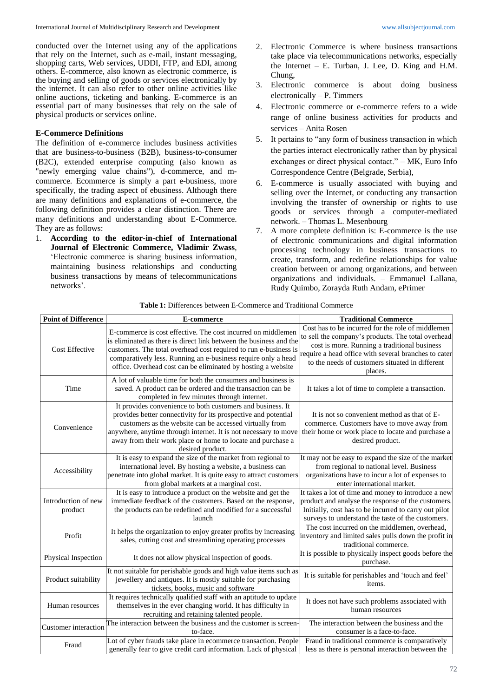conducted over the Internet using any of the applications that rely on the Internet, such as e-mail, instant messaging, shopping carts, Web services, UDDI, FTP, and EDI, among others. E-commerce, also known as electronic commerce, is the buying and selling of goods or services electronically by the internet. It can also refer to other online activities like online auctions, ticketing and banking. E-commerce is an essential part of many businesses that rely on the sale of physical products or services online.

## **E-Commerce Definitions**

The definition of e-commerce includes business activities that are business-to-business (B2B), business-to-consumer (B2C), extended enterprise computing (also known as "newly emerging value chains"), d-commerce, and mcommerce. Ecommerce is simply a part e-business, more specifically, the trading aspect of ebusiness. Although there are many definitions and explanations of e-commerce, the following definition provides a clear distinction. There are many definitions and understanding about E-Commerce. They are as follows:

1. **According to the editor-in-chief of International Journal of Electronic Commerce, Vladimir Zwass**, 'Electronic commerce is sharing business information, maintaining business relationships and conducting business transactions by means of telecommunications networks'.

- 2. Electronic Commerce is where business transactions take place via telecommunications networks, especially the Internet  $-$  E. Turban, J. Lee, D. King and H.M. Chung,
- 3. Electronic commerce is about doing business electronically – P. Timmers
- 4. Electronic commerce or e-commerce refers to a wide range of online business activities for products and services – Anita Rosen
- 5. It pertains to "any form of business transaction in which the parties interact electronically rather than by physical exchanges or direct physical contact." – MK, Euro Info Correspondence Centre (Belgrade, Serbia),
- 6. E-commerce is usually associated with buying and selling over the Internet, or conducting any transaction involving the transfer of ownership or rights to use goods or services through a computer-mediated network. – Thomas L. Mesenbourg
- 7. A more complete definition is: E-commerce is the use of electronic communications and digital information processing technology in business transactions to create, transform, and redefine relationships for value creation between or among organizations, and between organizations and individuals. – Emmanuel Lallana, Rudy Quimbo, Zorayda Ruth Andam, ePrimer

| <b>Point of Difference</b>     | E-commerce                                                                                                                                                                                                                                                                                                                                    | <b>Traditional Commerce</b>                                                                                                                                                                                                                                                   |
|--------------------------------|-----------------------------------------------------------------------------------------------------------------------------------------------------------------------------------------------------------------------------------------------------------------------------------------------------------------------------------------------|-------------------------------------------------------------------------------------------------------------------------------------------------------------------------------------------------------------------------------------------------------------------------------|
| <b>Cost Effective</b>          | E-commerce is cost effective. The cost incurred on middlemen<br>is eliminated as there is direct link between the business and the<br>customers. The total overhead cost required to run e-business is<br>comparatively less. Running an e-business require only a head<br>office. Overhead cost can be eliminated by hosting a website       | Cost has to be incurred for the role of middlemen<br>to sell the company's products. The total overhead<br>cost is more. Running a traditional business<br>require a head office with several branches to cater<br>to the needs of customers situated in different<br>places. |
| Time                           | A lot of valuable time for both the consumers and business is<br>saved. A product can be ordered and the transaction can be<br>completed in few minutes through internet.                                                                                                                                                                     | It takes a lot of time to complete a transaction.                                                                                                                                                                                                                             |
| Convenience                    | It provides convenience to both customers and business. It<br>provides better connectivity for its prospective and potential<br>customers as the website can be accessed virtually from<br>anywhere, anytime through internet. It is not necessary to move<br>away from their work place or home to locate and purchase a<br>desired product. | It is not so convenient method as that of E-<br>commerce. Customers have to move away from<br>their home or work place to locate and purchase a<br>desired product.                                                                                                           |
| Accessibility                  | It is easy to expand the size of the market from regional to<br>international level. By hosting a website, a business can<br>penetrate into global market. It is quite easy to attract customers<br>from global markets at a marginal cost.                                                                                                   | It may not be easy to expand the size of the market<br>from regional to national level. Business<br>organizations have to incur a lot of expenses to<br>enter international market.                                                                                           |
| Introduction of new<br>product | It is easy to introduce a product on the website and get the<br>immediate feedback of the customers. Based on the response,<br>the products can be redefined and modified for a successful<br>launch                                                                                                                                          | It takes a lot of time and money to introduce a new<br>product and analyse the response of the customers.<br>Initially, cost has to be incurred to carry out pilot<br>surveys to understand the taste of the customers.                                                       |
| Profit                         | It helps the organization to enjoy greater profits by increasing<br>sales, cutting cost and streamlining operating processes                                                                                                                                                                                                                  | The cost incurred on the middlemen, overhead,<br>inventory and limited sales pulls down the profit in<br>traditional commerce.                                                                                                                                                |
| Physical Inspection            | It does not allow physical inspection of goods.                                                                                                                                                                                                                                                                                               | It is possible to physically inspect goods before the<br>purchase.                                                                                                                                                                                                            |
| Product suitability            | It not suitable for perishable goods and high value items such as<br>jewellery and antiques. It is mostly suitable for purchasing<br>tickets, books, music and software                                                                                                                                                                       | It is suitable for perishables and 'touch and feel'<br>items.                                                                                                                                                                                                                 |
| Human resources                | It requires technically qualified staff with an aptitude to update<br>themselves in the ever changing world. It has difficulty in<br>recruiting and retaining talented people.                                                                                                                                                                | It does not have such problems associated with<br>human resources                                                                                                                                                                                                             |
| <b>Customer</b> interaction    | The interaction between the business and the customer is screen-<br>to-face.                                                                                                                                                                                                                                                                  | The interaction between the business and the<br>consumer is a face-to-face.                                                                                                                                                                                                   |
| Fraud                          | Lot of cyber frauds take place in ecommerce transaction. People<br>generally fear to give credit card information. Lack of physical                                                                                                                                                                                                           | Fraud in traditional commerce is comparatively<br>less as there is personal interaction between the                                                                                                                                                                           |

**Table 1:** Differences between E-Commerce and Traditional Commerce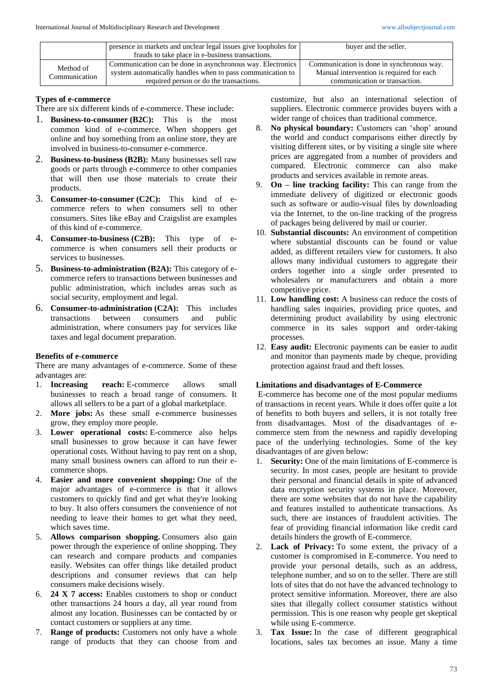|                            | presence in markets and unclear legal issues give loopholes for | buyer and the seller.                     |
|----------------------------|-----------------------------------------------------------------|-------------------------------------------|
|                            | frauds to take place in e-business transactions.                |                                           |
| Method of<br>Communication | Communication can be done in asynchronous way. Electronics      | Communication is done in synchronous way. |
|                            | system automatically handles when to pass communication to      | Manual intervention is required for each  |
|                            | required person or do the transactions.                         | communication or transaction.             |

### **Types of e-commerce**

There are six different kinds of e-commerce. These include:

- 1. **Business-to-consumer (B2C):** This is the most common kind of e-commerce. When shoppers get online and buy something from an online store, they are involved in business-to-consumer e-commerce.
- 2. **Business-to-business (B2B):** Many businesses sell raw goods or parts through e-commerce to other companies that will then use those materials to create their products.
- 3. **Consumer-to-consumer (C2C):** This kind of ecommerce refers to when consumers sell to other consumers. Sites like eBay and Craigslist are examples of this kind of e-commerce.
- 4. **Consumer-to-business (C2B):** This type of ecommerce is when consumers sell their products or services to businesses.
- 5. **Business-to-administration (B2A):** This category of ecommerce refers to transactions between businesses and public administration, which includes areas such as social security, employment and legal.
- 6. **Consumer-to-administration (C2A):** This includes transactions between consumers and public administration, where consumers pay for services like taxes and legal document preparation.

#### **Benefits of e-commerce**

There are many advantages of e-commerce. Some of these advantages are:

- 1. **Increasing reach:** E-commerce allows small businesses to reach a broad range of consumers. It allows all sellers to be a part of a global marketplace.
- 2. **More jobs:** As these small e-commerce businesses grow, they employ more people.
- 3. **Lower operational costs:** E-commerce also helps small businesses to grow because it can have fewer operational costs. Without having to pay rent on a shop, many small business owners can afford to run their ecommerce shops.
- 4. **Easier and more convenient shopping:** One of the major advantages of e-commerce is that it allows customers to quickly find and get what they're looking to buy. It also offers consumers the convenience of not needing to leave their homes to get what they need, which saves time.
- 5. **Allows comparison shopping.** Consumers also gain power through the experience of online shopping. They can research and compare products and companies easily. Websites can offer things like detailed product descriptions and consumer reviews that can help consumers make decisions wisely.
- 6. **24 X 7 access:** Enables customers to shop or conduct other transactions 24 hours a day, all year round from almost any location. Businesses can be contacted by or contact customers or suppliers at any time.
- 7. **Range of products:** Customers not only have a whole range of products that they can choose from and

customize, but also an international selection of suppliers. Electronic commerce provides buyers with a wider range of choices than traditional commerce.

- 8. **No physical boundary:** Customers can 'shop' around the world and conduct comparisons either directly by visiting different sites, or by visiting a single site where prices are aggregated from a number of providers and compared. Electronic commerce can also make products and services available in remote areas.
- 9. **On – line tracking facility:** This can range from the immediate delivery of digitized or electronic goods such as software or audio-visual files by downloading via the Internet, to the on-line tracking of the progress of packages being delivered by mail or courier.
- 10. **Substantial discounts:** An environment of competition where substantial discounts can be found or value added, as different retailers view for customers. It also allows many individual customers to aggregate their orders together into a single order presented to wholesalers or manufacturers and obtain a more competitive price.
- 11. **Low handling cost:** A business can reduce the costs of handling sales inquiries, providing price quotes, and determining product availability by using electronic commerce in its sales support and order-taking processes.
- 12. **Easy audit:** Electronic payments can be easier to audit and monitor than payments made by cheque, providing protection against fraud and theft losses.

#### **Limitations and disadvantages of E-Commerce**

E-commerce has become one of the most popular mediums of transactions in recent years. While it does offer quite a lot of benefits to both buyers and sellers, it is not totally free from disadvantages. Most of the disadvantages of ecommerce stem from the newness and rapidly developing pace of the underlying technologies. Some of the key disadvantages of are given below:

- 1. **Security:** One of the main limitations of E-commerce is security. In most cases, people are hesitant to provide their personal and financial details in spite of advanced data encryption security systems in place. Moreover, there are some websites that do not have the capability and features installed to authenticate transactions. As such, there are instances of fraudulent activities. The fear of providing financial information like credit card details hinders the growth of E-commerce.
- 2. **Lack of Privacy:** To some extent, the privacy of a customer is compromised in E-commerce. You need to provide your personal details, such as an address, telephone number, and so on to the seller. There are still lots of sites that do not have the advanced technology to protect sensitive information. Moreover, there are also sites that illegally collect consumer statistics without permission. This is one reason why people get skeptical while using E-commerce.
- 3. **Tax Issue:** In the case of different geographical locations, sales tax becomes an issue. Many a time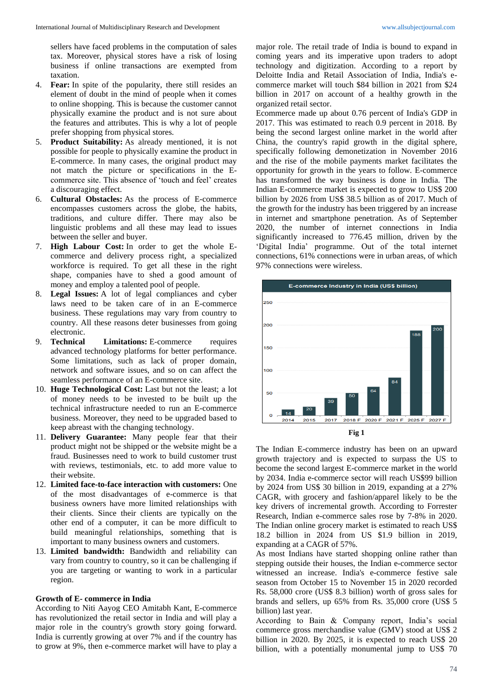sellers have faced problems in the computation of sales tax. Moreover, physical stores have a risk of losing business if online transactions are exempted from taxation.

- 4. **Fear:** In spite of the popularity, there still resides an element of doubt in the mind of people when it comes to online shopping. This is because the customer cannot physically examine the product and is not sure about the features and attributes. This is why a lot of people prefer shopping from physical stores.
- 5. **Product Suitability:** As already mentioned, it is not possible for people to physically examine the product in E-commerce. In many cases, the original product may not match the picture or specifications in the Ecommerce site. This absence of 'touch and feel' creates a discouraging effect.
- 6. **Cultural Obstacles:** As the process of E-commerce encompasses customers across the globe, the habits, traditions, and culture differ. There may also be linguistic problems and all these may lead to issues between the seller and buyer.
- 7. **High Labour Cost:** In order to get the whole Ecommerce and delivery process right, a specialized workforce is required. To get all these in the right shape, companies have to shed a good amount of money and employ a talented pool of people.
- 8. **Legal Issues:** A lot of legal compliances and cyber laws need to be taken care of in an E-commerce business. These regulations may vary from country to country. All these reasons deter businesses from going electronic.
- 9. **Technical Limitations:** E-commerce requires advanced technology platforms for better performance. Some limitations, such as lack of proper domain, network and software issues, and so on can affect the seamless performance of an E-commerce site.
- 10. **Huge Technological Cost:** Last but not the least; a lot of money needs to be invested to be built up the technical infrastructure needed to run an E-commerce business. Moreover, they need to be upgraded based to keep abreast with the changing technology.
- 11. **Delivery Guarantee:** Many people fear that their product might not be shipped or the website might be a fraud. Businesses need to work to build customer trust with reviews, testimonials, etc. to add more value to their website.
- 12. **Limited face-to-face interaction with customers:** One of the most disadvantages of e-commerce is that business owners have more limited relationships with their clients. Since their clients are typically on the other end of a computer, it can be more difficult to build meaningful relationships, something that is important to many business owners and customers.
- 13. **Limited bandwidth:** Bandwidth and reliability can vary from country to country, so it can be challenging if you are targeting or wanting to work in a particular region.

#### **Growth of E- commerce in India**

According to Niti Aayog CEO Amitabh Kant, E-commerce has revolutionized the retail sector in India and will play a major role in the country's growth story going forward. India is currently growing at over 7% and if the country has to grow at 9%, then e-commerce market will have to play a

major role. The retail trade of India is bound to expand in coming years and its imperative upon traders to adopt technology and digitization. According to a report by Deloitte India and Retail Association of India, India's ecommerce market will touch \$84 billion in 2021 from \$24 billion in 2017 on account of a healthy growth in the organized retail sector.

Ecommerce made up about 0.76 percent of India's GDP in 2017. This was estimated to reach 0.9 percent in 2018. By being the second largest online market in the world after China, the country's rapid growth in the digital sphere, specifically following demonetization in November 2016 and the rise of the mobile payments market facilitates the opportunity for growth in the years to follow. E-commerce has transformed the way business is done in India. The Indian E-commerce market is expected to grow to US\$ 200 billion by 2026 from US\$ 38.5 billion as of 2017. Much of the growth for the industry has been triggered by an increase in internet and smartphone penetration. As of September 2020, the number of internet connections in India significantly increased to 776.45 million, driven by the 'Digital India' programme. Out of the total internet connections, 61% connections were in urban areas, of which 97% connections were wireless.



The Indian E-commerce industry has been on an upward growth trajectory and is expected to surpass the US to become the second largest E-commerce market in the world by 2034. India e-commerce sector will reach US\$99 billion by 2024 from US\$ 30 billion in 2019, expanding at a 27% CAGR, with grocery and fashion/apparel likely to be the key drivers of incremental growth. According to Forrester Research, Indian e-commerce sales rose by 7-8% in 2020. The Indian online grocery market is estimated to reach US\$ 18.2 billion in 2024 from US \$1.9 billion in 2019, expanding at a CAGR of 57%.

As most Indians have started shopping online rather than stepping outside their houses, the Indian e-commerce sector witnessed an increase. India's e-commerce festive sale season from October 15 to November 15 in 2020 recorded Rs. 58,000 crore (US\$ 8.3 billion) worth of gross sales for brands and sellers, up 65% from Rs. 35,000 crore (US\$ 5 billion) last year.

According to Bain & Company report, India's social commerce gross merchandise value (GMV) stood at US\$ 2 billion in 2020. By 2025, it is expected to reach US\$ 20 billion, with a potentially monumental jump to US\$ 70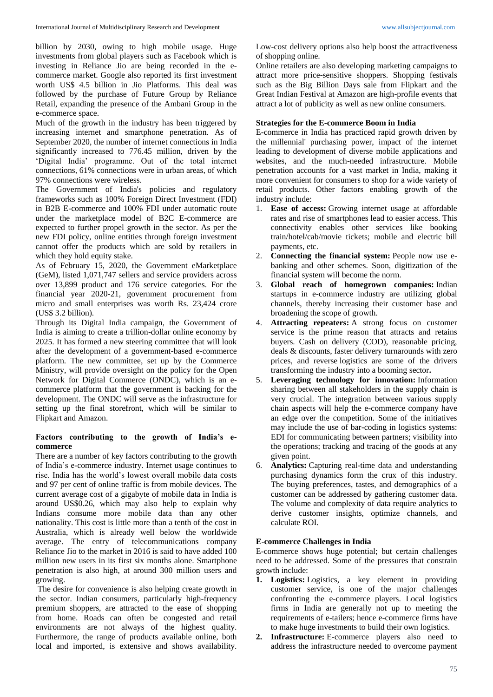billion by 2030, owing to high mobile usage. Huge investments from global players such as Facebook which is investing in Reliance Jio are being recorded in the ecommerce market. Google also reported its first investment worth US\$ 4.5 billion in Jio Platforms. This deal was followed by the purchase of Future Group by Reliance Retail, expanding the presence of the Ambani Group in the e-commerce space.

Much of the growth in the industry has been triggered by increasing internet and smartphone penetration. As of September 2020, the number of internet connections in India significantly increased to 776.45 million, driven by the 'Digital India' programme. Out of the total internet connections, 61% connections were in urban areas, of which 97% connections were wireless.

The Government of India's policies and regulatory frameworks such as 100% Foreign Direct Investment (FDI) in B2B E-commerce and 100% FDI under automatic route under the marketplace model of B2C E-commerce are expected to further propel growth in the sector. As per the new FDI policy, online entities through foreign investment cannot offer the products which are sold by retailers in which they hold equity stake.

As of February 15, 2020, the Government eMarketplace (GeM), listed 1,071,747 sellers and service providers across over 13,899 product and 176 service categories. For the financial year 2020-21, government procurement from micro and small enterprises was worth Rs. 23,424 crore (US\$ 3.2 billion).

Through its Digital India campaign, the Government of India is aiming to create a trillion-dollar online economy by 2025. It has formed a new steering committee that will look after the development of a government-based e-commerce platform. The new committee, set up by the Commerce Ministry, will provide oversight on the policy for the Open Network for Digital Commerce (ONDC), which is an ecommerce platform that the government is backing for the development. The ONDC will serve as the infrastructure for setting up the final storefront, which will be similar to Flipkart and Amazon.

## **Factors contributing to the growth of India's ecommerce**

There are a number of key factors contributing to the growth of India's e-commerce industry. Internet usage continues to rise. India has the world's lowest overall mobile data costs and 97 per cent of online traffic is from mobile devices. The current average cost of a gigabyte of mobile data in India is around US\$0.26, which may also help to explain why Indians consume more mobile data than any other nationality. This cost is little more than a tenth of the cost in Australia, which is already well below the worldwide average. The entry of telecommunications company Reliance Jio to the market in 2016 is said to have added 100 million new users in its first six months alone. Smartphone penetration is also high, at around 300 million users and growing.

The desire for convenience is also helping create growth in the sector. Indian consumers, particularly high-frequency premium shoppers, are attracted to the ease of shopping from home. Roads can often be congested and retail environments are not always of the highest quality. Furthermore, the range of products available online, both local and imported, is extensive and shows availability.

Low-cost delivery options also help boost the attractiveness of shopping online.

Online retailers are also developing marketing campaigns to attract more price-sensitive shoppers. Shopping festivals such as the Big Billion Days sale from Flipkart and the Great Indian Festival at Amazon are high-profile events that attract a lot of publicity as well as new online consumers.

# **Strategies for the E-commerce Boom in India**

E-commerce in India has practiced rapid growth driven by the millennial' purchasing power, impact of the internet leading to development of diverse mobile applications and websites, and the much-needed infrastructure. Mobile penetration accounts for a vast market in India, making it more convenient for consumers to shop for a wide variety of retail products. Other factors enabling growth of the industry include:

- 1. **Ease of access:** Growing internet usage at affordable rates and rise of smartphones lead to easier access. This connectivity enables other services like booking train/hotel/cab/movie tickets; mobile and electric bill payments, etc.
- 2. **Connecting the financial system:** People now use ebanking and other schemes. Soon, digitization of the financial system will become the norm.
- 3. **Global reach of homegrown companies:** Indian startups in e-commerce industry are utilizing global channels, thereby increasing their customer base and broadening the scope of growth.
- 4. **Attracting repeaters:** A strong focus on customer service is the prime reason that attracts and retains buyers. Cash on delivery (COD), reasonable pricing, deals & discounts, faster delivery turnarounds with zero prices, and reverse logistics are some of the drivers transforming the industry into a booming sector**.**
- 5. **Leveraging technology for innovation:** Information sharing between all stakeholders in the supply chain is very crucial. The integration between various supply chain aspects will help the e-commerce company have an edge over the competition. Some of the initiatives may include the use of bar-coding in logistics systems: EDI for communicating between partners; visibility into the operations; tracking and tracing of the goods at any given point.
- 6. **Analytics:** Capturing real-time data and understanding purchasing dynamics form the crux of this industry. The buying preferences, tastes, and demographics of a customer can be addressed by gathering customer data. The volume and complexity of data require analytics to derive customer insights, optimize channels, and calculate ROI.

# **E-commerce Challenges in India**

E-commerce shows huge potential; but certain challenges need to be addressed. Some of the pressures that constrain growth include:

- **1. Logistics:** Logistics, a key element in providing customer service, is one of the major challenges confronting the e-commerce players. Local logistics firms in India are generally not up to meeting the requirements of e-tailers; hence e-commerce firms have to make huge investments to build their own logistics.
- **2. Infrastructure:** E-commerce players also need to address the infrastructure needed to overcome payment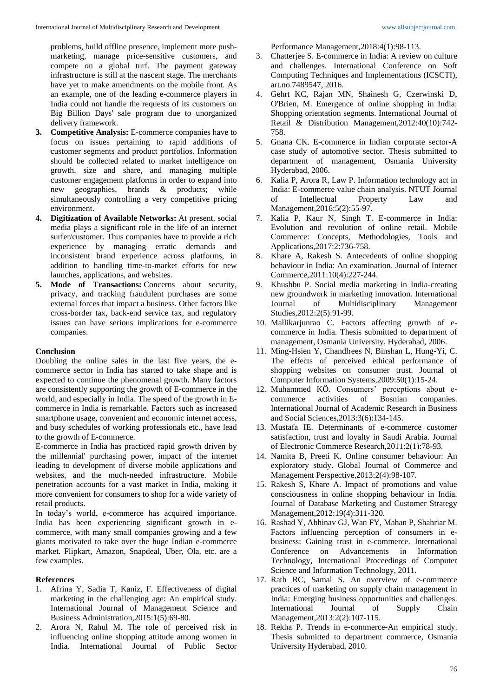problems, build offline presence, implement more pushmarketing, manage price-sensitive customers, and compete on a global turf. The payment gateway infrastructure is still at the nascent stage. The merchants have yet to make amendments on the mobile front. As an example, one of the leading e-commerce players in India could not handle the requests of its customers on Big Billion Days' sale program due to unorganized delivery framework.

- **3. Competitive Analysis:** E-commerce companies have to focus on issues pertaining to rapid additions of customer segments and product portfolios. Information should be collected related to market intelligence on growth, size and share, and managing multiple customer engagement platforms in order to expand into new geographies, brands & products; while simultaneously controlling a very competitive pricing environment.
- **4. Digitization of Available Networks:** At present, social media plays a significant role in the life of an internet surfer/customer. Thus companies have to provide a rich experience by managing erratic demands and inconsistent brand experience across platforms, in addition to handling time-to-market efforts for new launches, applications, and websites.
- **5. Mode of Transactions:** Concerns about security, privacy, and tracking fraudulent purchases are some external forces that impact a business. Other factors like cross-border tax, back-end service tax, and regulatory issues can have serious implications for e-commerce companies.

### **Conclusion**

Doubling the online sales in the last five years, the ecommerce sector in India has started to take shape and is expected to continue the phenomenal growth. Many factors are consistently supporting the growth of E-commerce in the world, and especially in India. The speed of the growth in Ecommerce in India is remarkable. Factors such as increased smartphone usage, convenient and economic internet access, and busy schedules of working professionals etc., have lead to the growth of E-commerce.

E-commerce in India has practiced rapid growth driven by the millennial' purchasing power, impact of the internet leading to development of diverse mobile applications and websites, and the much-needed infrastructure. Mobile penetration accounts for a vast market in India, making it more convenient for consumers to shop for a wide variety of retail products.

In today's world, e-commerce has acquired importance. India has been experiencing significant growth in ecommerce, with many small companies growing and a few giants motivated to take over the huge Indian e-commerce market. Flipkart, Amazon, Snapdeal, Uber, Ola, etc. are a few examples.

#### **References**

- 1. Afrina Y, Sadia T, Kaniz, F. Effectiveness of digital marketing in the challenging age: An empirical study. International Journal of Management Science and Business Administration,2015:1(5):69-80.
- 2. Arora N, Rahul M. The role of perceived risk in influencing online shopping attitude among women in India. International Journal of Public Sector

Performance Management,2018:4(1):98-113.

- 3. Chatterjee S. E-commerce in India: A review on culture and challenges. International Conference on Soft Computing Techniques and Implementations (ICSCTI), art.no.7489547, 2016.
- 4. Gehrt KC, Rajan MN, Shainesh G, Czerwinski D, O'Brien, M. Emergence of online shopping in India: Shopping orientation segments. International Journal of Retail & Distribution Management,2012:40(10):742- 758.
- 5. Gnana CK. E-commerce in Indian corporate sector-A case study of automotive sector. Thesis submitted to department of management, Osmania University Hyderabad, 2006.
- 6. Kalia P, Arora R, Law P. Information technology act in India: E-commerce value chain analysis. NTUT Journal of Intellectual Property Law and Management,2016:5(2):55-97.
- 7. Kalia P, Kaur N, Singh T. E-commerce in India: Evolution and revolution of online retail. Mobile Commerce: Concepts, Methodologies, Tools and Applications,2017:2:736-758.
- 8. Khare A, Rakesh S. Antecedents of online shopping behaviour in India: An examination. Journal of Internet Commerce,2011:10(4):227-244.
- 9. Khushbu P. Social media marketing in India-creating new groundwork in marketing innovation. International Journal of Multidisciplinary Management Studies,2012:2(5):91-99.
- 10. Mallikarjunrao C. Factors affecting growth of ecommerce in India. Thesis submitted to department of management, Osmania University, Hyderabad, 2006.
- 11. Ming-Hsien Y, Chandlrees N, Binshan L, Hung-Yi, C. The effects of perceived ethical performance of shopping websites on consumer trust. Journal of Computer Information Systems,2009:50(1):15-24.
- 12. Muhammed KÖ. Consumers' perceptions about e-<br>commerce activities of Bosnian companies. commerce activities of Bosnian companies. International Journal of Academic Research in Business and Social Sciences,2013:3(6):134-145.
- 13. Mustafa IE. Determinants of e-commerce customer satisfaction, trust and loyalty in Saudi Arabia. Journal of Electronic Commerce Research,2011:2(1):78-93.
- 14. Namita B, Preeti K. Online consumer behaviour: An exploratory study. Global Journal of Commerce and Management Perspective,2013:2(4):98-107.
- 15. Rakesh S, Khare A. Impact of promotions and value consciousness in online shopping behaviour in India. Journal of Database Marketing and Customer Strategy Management,2012:19(4):311-320.
- 16. Rashad Y, Abhinav GJ, Wan FY, Mahan P, Shahriar M. Factors influencing perception of consumers in ebusiness: Gaining trust in e-commerce. International Conference on Advancements in Information Technology, International Proceedings of Computer Science and Information Technology, 2011.
- 17. Rath RC, Samal S. An overview of e-commerce practices of marketing on supply chain management in India: Emerging business opportunities and challenges. International Journal of Supply Chain Management,2013:2(2):107-115.
- 18. Rekha P. Trends in e-commerce-An empirical study. Thesis submitted to department commerce, Osmania University Hyderabad, 2010.